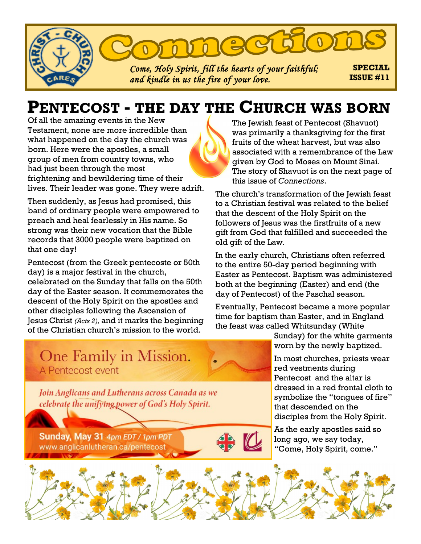

## **PENTECOST - THE DAY THE CHURCH WAS BORN**

Of all the amazing events in the New Testament, none are more incredible than what happened on the day the church was born. Here were the apostles, a small group of men from country towns, who had just been through the most frightening and bewildering time of their lives. Their leader was gone. They were adrift.

Then suddenly, as Jesus had promised, this band of ordinary people were empowered to preach and heal fearlessly in His name. So strong was their new vocation that the Bible records that 3000 people were baptized on that one day!

Pentecost (from the Greek pentecoste or 50th day) is a major [festival](https://www.britannica.com/topic/feast-religion) in the [church,](https://www.britannica.com/topic/church-Christianity)  celebrated on the Sunday that falls on the 50th day of the [Easter](https://www.britannica.com/topic/Easter-holiday) season. It [commemorates](https://www.merriam-webster.com/dictionary/commemorates) the descent of the [Holy Spirit](https://www.britannica.com/topic/Holy-Spirit) on the [apostles](https://www.britannica.com/topic/Apostle) and other [disciples](https://www.merriam-webster.com/dictionary/disciples) following the [Ascension](https://www.britannica.com/topic/Ascension-Christianity) of [Jesus Christ](https://www.britannica.com/biography/Jesus) *([Acts 2\)](https://www.britannica.com/topic/The-Acts-of-the-Apostles-New-Testament),* and it marks the beginning of the Christian church's mission to the world.

One Family in Mission.

Sunday, May 31 4pm EDT / 1pm PDT

Join Anglicans and Lutherans across Canada as we celebrate the unifying power of God's Holy Spirit.

A Pentecost event

The Jewish feast of Pentecost [\(Shavuot\)](https://www.britannica.com/topic/Shavuot) was primarily a thanksgiving for the first fruits of the wheat harvest, but was also associated with a remembrance of the Law given by God to [Moses](https://www.britannica.com/biography/Moses-Hebrew-prophet) on [Mount Sinai.](https://www.britannica.com/place/Mount-Sinai-mountain-Egypt)  The story of Shavuot is on the next page of this issue of *Connections*.

The church's transformation of the Jewish feast to a Christian festival was related to the belief that the descent of the Holy Spirit on the followers of Jesus was the firstfruits of a new [gift from God](https://www.britannica.com/topic/dispensation) that fulfilled and succeeded the old gift of the Law.

In the early church, Christians often referred to the entire 50-day period beginning with Easter as Pentecost. [Baptism](https://www.britannica.com/topic/baptism) was administered both at the beginning (Easter) and end (the day of Pentecost) of the Paschal season.

Eventually, Pentecost became a more popular time for baptism than Easter, and in [England](https://www.britannica.com/place/England) the feast was called Whitsunday (White

> Sunday) for the white garments worn by the newly baptized.

> In most churches, priests wear red vestments during Pentecost and the [altar](https://www.britannica.com/topic/altar) is dressed in a red frontal cloth to symbolize the "tongues of fire" that descended on the disciples from the Holy Spirit.

As the early apostles said so long ago, we say today, "Come, Holy Spirit, come."

www.anglicanlutheran.ca/pentecost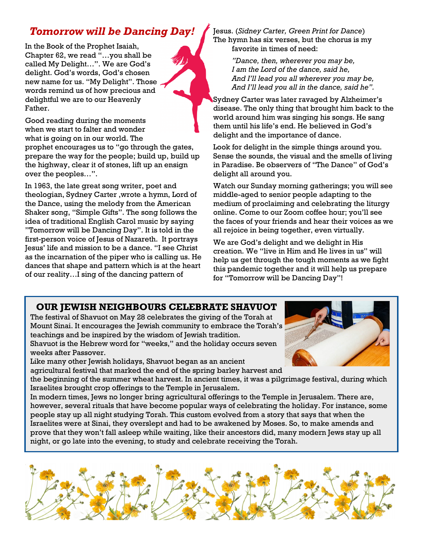### *Tomorrow will be Dancing Day!*

In the Book of the Prophet Isaiah, Chapter 62, we read "…you shall be called My Delight…". We are God's delight. God's words, God's chosen new name for us. "My Delight". Those words remind us of how precious and delightful we are to our Heavenly Father.

Good reading during the moments when we start to falter and wonder what is going on in our world. The prophet encourages us to "go through the gates, prepare the way for the people; build up, build up the highway, clear it of stones, lift up an ensign over the peoples…".

In 1963, the late great song writer, poet and theologian, Sydney Carter ,wrote a hymn, Lord of the Dance, using the melody from the American Shaker song, "Simple Gifts". The song follows the idea of traditional English Carol music by saying "Tomorrow will be Dancing Day". It is told in the first-person voice of Jesus of Nazareth. It portrays Jesus' life and mission to be a dance. "I see Christ as the incarnation of the piper who is calling us. He dances that shape and pattern which is at the heart of our reality…I sing of the dancing pattern of

Jesus. (*Sidney Carter, Green Print for Dance*) The hymn has six verses, but the chorus is my favorite in times of need:

> *"Dance, then, wherever you may be, I am the Lord of the dance, said he, And I'll lead you all wherever you may be, And I'll lead you all in the dance, said he".*

Sydney Carter was later ravaged by Alzheimer's disease. The only thing that brought him back to the world around him was singing his songs. He sang them until his life's end. He believed in God's delight and the importance of dance.

Look for delight in the simple things around you. Sense the sounds, the visual and the smells of living in Paradise. Be observers of "The Dance" of God's delight all around you.

Watch our Sunday morning gatherings; you will see middle-aged to senior people adapting to the medium of proclaiming and celebrating the liturgy online. Come to our Zoom coffee hour; you'll see the faces of your friends and hear their voices as we all rejoice in being together, even virtually.

We are God's delight and we delight in His creation. We "live in Him and He lives in us" will help us get through the tough moments as we fight this pandemic together and it will help us prepare for "Tomorrow will be Dancing Day"!

### **OUR JEWISH NEIGHBOURS CELEBRATE SHAVUOT**

The festival of Shavuot on May 28 celebrates the giving of the Torah at Mount Sinai. It encourages the Jewish community to [embrace the Torah's](https://reformjudaism.org/learning)  [teachings](https://reformjudaism.org/learning) and be inspired by the wisdom of Jewish tradition.

Shavuot is the Hebrew word for "weeks," and the holiday occurs seven weeks after [Passover.](https://reformjudaism.org/jewish-holidays/passover-pesach)

Like many other Jewish holidays, Shavuot began as an ancient

agricultural festival that marked the end of the spring barley harvest and

the beginning of the summer wheat harvest. In ancient times, it was a pilgrimage festival, during which Israelites brought crop offerings to the Temple in Jerusalem.

In modern times, Jews no longer bring agricultural offerings to the Temple in Jerusalem. There are, however, several rituals that have become popular ways of celebrating the holiday. For instance, some people stay up all night studying Torah. This custom evolved from a story that says that when the Israelites were at Sinai, they overslept and had to be awakened by Moses. So, to make amends and prove that they won't fall asleep while waiting, like their ancestors did, many modern Jews stay up all night, or go late into the evening, to study and celebrate receiving the Torah.



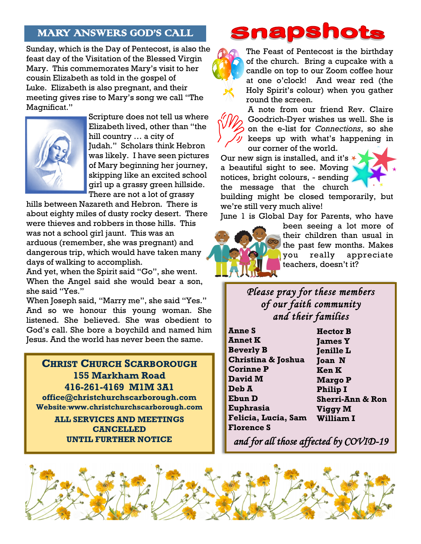### MARY ANSWERS GOD'S CALL

Sunday, which is the Day of Pentecost, is also the feast day of the Visitation of the Blessed Virgin Mary. This commemorates Mary's visit to her cousin Elizabeth as told in the gospel of Luke. Elizabeth is also pregnant, and their meeting gives rise to Mary's song we call "The Magnificat."



Scripture does not tell us where Elizabeth lived, other than "the hill country … a city of Judah." Scholars think Hebron was likely. I have seen pictures of Mary beginning her journey, skipping like an excited school girl up a grassy green hillside. There are not a lot of grassy

hills between Nazareth and Hebron. There is about eighty miles of dusty rocky desert. There were thieves and robbers in those hills. This was not a school girl jaunt. This was an arduous (remember, she was pregnant) and dangerous trip, which would have taken many days of walking to accomplish.

And yet, when the Spirit said "Go", she went. When the Angel said she would bear a son, she said "Yes."

When Joseph said, "Marry me", she said "Yes." And so we honour this young woman. She listened. She believed. She was obedient to God's call. She bore a boychild and named him Jesus. And the world has never been the same.

**CHRIST CHURCH SCARBOROUGH 155 Markham Road 416-261-4169 M1M 3A1 office@christchurchscarborough.com Website**:**www.christchurchscarborough.com**

> **ALL SERVICES AND MEETINGS CANCELLED UNTIL FURTHER NOTICE**

# **snapshots**



The Feast of Pentecost is the birthday of the church. Bring a cupcake with a candle on top to our Zoom coffee hour at one o'clock! And wear red (the Holy Spirit's colour) when you gather round the screen.

A note from our friend Rev. Claire Goodrich-Dyer wishes us well. She is on the e-list for *Connections*, so she keeps up with what's happening in our corner of the world.

Our new sign is installed, and it's  $*$ a beautiful sight to see. Moving notices, bright colours, - sending the message that the church



building might be closed temporarily, but we're still very much alive!

June 1 is Global Day for Parents, who have



been seeing a lot more of their children than usual in the past few months. Makes you really appreciate teachers, doesn't it?

### *Please pray for these members of our faith community and their families*

**Anne S Annet K Beverly B Christina & Joshua Corinne P David M Deb A Ebun D Euphrasia Felicia, Lucia, Sam Florence S**

**Hector B James Y Jenille L Joan N Ken K Margo P Philip I Sherri-Ann & Ron Viggy M William I**

*and for all those affected by COVID-19*